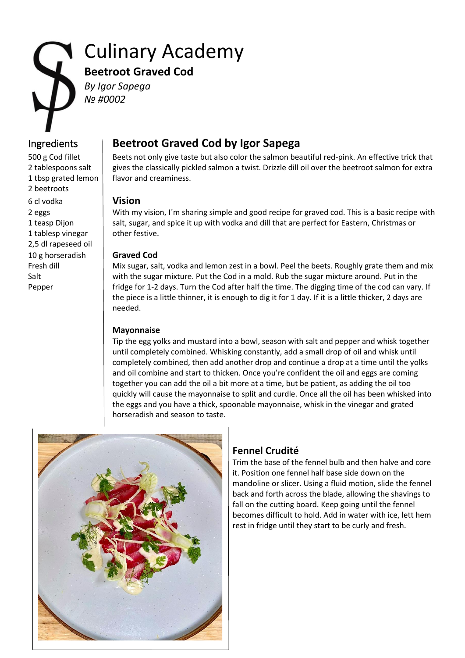# Culinary Academy **Beetroot Graved Cod** *By Igor Sapega*

*№ #0002*

2 beetroots 6 cl vodka **Vision** 1 tablesp vinegar  $\parallel$  other festive. 2,5 dl rapeseed oil 10 g horseradish **Graved Cod**

# Ingredients **Beetroot Graved Cod by Igor Sapega**

500 g Cod fillet Beets not only give taste but also color the salmon beautiful red-pink. An effective trick that 2 tablespoons salt  $\parallel$  gives the classically pickled salmon a twist. Drizzle dill oil over the beetroot salmon for extra 1 tbsp grated lemon  $\vert$  flavor and creaminess.

2 eggs Summan With my vision, I'm sharing simple and good recipe for graved cod. This is a basic recipe with 1 teasp Dijon salt, sugar, and spice it up with vodka and dill that are perfect for Eastern, Christmas or

Fresh dill Mix sugar, salt, vodka and lemon zest in a bowl. Peel the beets. Roughly grate them and mix Salt with the sugar mixture. Put the Cod in a mold. Rub the sugar mixture around. Put in the Pepper fridge for 1-2 days. Turn the Cod after half the time. The digging time of the cod can vary. If the piece is a little thinner, it is enough to dig it for 1 day. If it is a little thicker, 2 days are needed.

### **Mayonnaise**

Tip the egg yolks and mustard into a bowl, season with salt and pepper and whisk together until completely combined. Whisking constantly, add a small drop of oil and whisk until completely combined, then add another drop and continue a drop at a time until the yolks and oil combine and start to thicken. Once you're confident the oil and eggs are coming together you can add the oil a bit more at a time, but be patient, as adding the oil too quickly will cause the mayonnaise to split and curdle. Once all the oil has been whisked into the eggs and you have a thick, spoonable mayonnaise, whisk in the vinegar and grated horseradish and season to taste.



## **Fennel Crudité**

Trim the base of the fennel bulb and then halve and core it. Position one fennel half base side down on the mandoline or slicer. Using a fluid motion, slide the fennel back and forth across the blade, allowing the shavings to fall on the cutting board. Keep going until the fennel becomes difficult to hold. Add in water with ice, lett hem rest in fridge until they start to be curly and fresh.